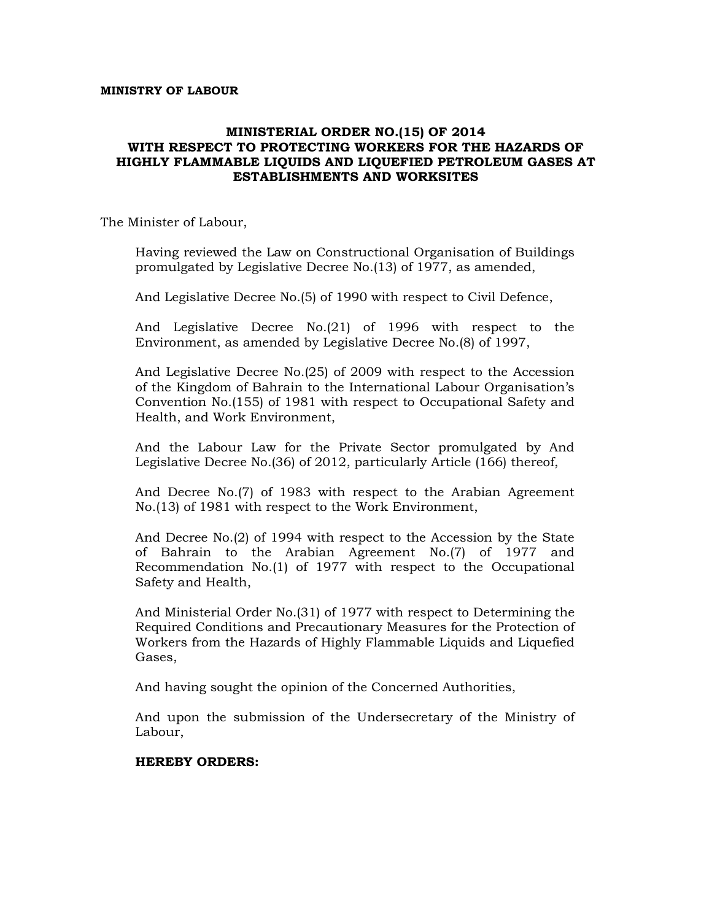#### **MINISTRY OF LABOUR**

#### **MINISTERIAL ORDER NO.(15) OF 2014 WITH RESPECT TO PROTECTING WORKERS FOR THE HAZARDS OF HIGHLY FLAMMABLE LIQUIDS AND LIQUEFIED PETROLEUM GASES AT ESTABLISHMENTS AND WORKSITES**

The Minister of Labour,

Having reviewed the Law on Constructional Organisation of Buildings promulgated by Legislative Decree No.(13) of 1977, as amended,

And Legislative Decree No.(5) of 1990 with respect to Civil Defence,

And Legislative Decree No.(21) of 1996 with respect to the Environment, as amended by Legislative Decree No.(8) of 1997,

And Legislative Decree No.(25) of 2009 with respect to the Accession of the Kingdom of Bahrain to the International Labour Organisation's Convention No.(155) of 1981 with respect to Occupational Safety and Health, and Work Environment,

And the Labour Law for the Private Sector promulgated by And Legislative Decree No.(36) of 2012, particularly Article (166) thereof,

And Decree No.(7) of 1983 with respect to the Arabian Agreement No.(13) of 1981 with respect to the Work Environment,

And Decree No.(2) of 1994 with respect to the Accession by the State of Bahrain to the Arabian Agreement No.(7) of 1977 and Recommendation No.(1) of 1977 with respect to the Occupational Safety and Health,

And Ministerial Order No.(31) of 1977 with respect to Determining the Required Conditions and Precautionary Measures for the Protection of Workers from the Hazards of Highly Flammable Liquids and Liquefied Gases,

And having sought the opinion of the Concerned Authorities,

And upon the submission of the Undersecretary of the Ministry of Labour,

#### **HEREBY ORDERS:**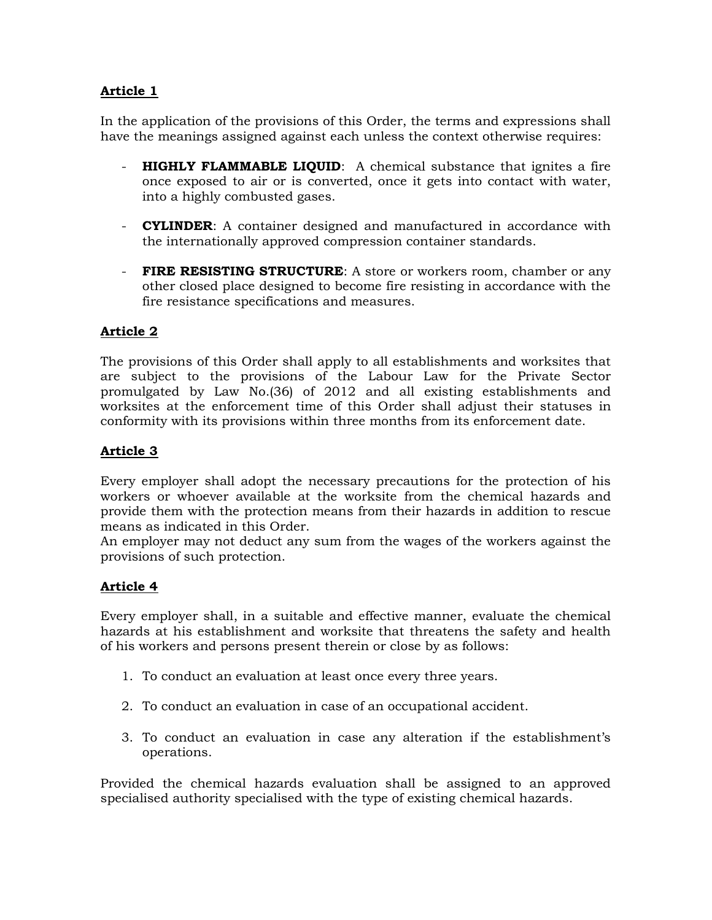In the application of the provisions of this Order, the terms and expressions shall have the meanings assigned against each unless the context otherwise requires:

- **HIGHLY FLAMMABLE LIQUID:** A chemical substance that ignites a fire once exposed to air or is converted, once it gets into contact with water, into a highly combusted gases.
- **CYLINDER**: A container designed and manufactured in accordance with the internationally approved compression container standards.
- **FIRE RESISTING STRUCTURE**: A store or workers room, chamber or any other closed place designed to become fire resisting in accordance with the fire resistance specifications and measures.

# **Article 2**

The provisions of this Order shall apply to all establishments and worksites that are subject to the provisions of the Labour Law for the Private Sector promulgated by Law No.(36) of 2012 and all existing establishments and worksites at the enforcement time of this Order shall adjust their statuses in conformity with its provisions within three months from its enforcement date.

# **Article 3**

Every employer shall adopt the necessary precautions for the protection of his workers or whoever available at the worksite from the chemical hazards and provide them with the protection means from their hazards in addition to rescue means as indicated in this Order.

An employer may not deduct any sum from the wages of the workers against the provisions of such protection.

#### **Article 4**

Every employer shall, in a suitable and effective manner, evaluate the chemical hazards at his establishment and worksite that threatens the safety and health of his workers and persons present therein or close by as follows:

- 1. To conduct an evaluation at least once every three years.
- 2. To conduct an evaluation in case of an occupational accident.
- 3. To conduct an evaluation in case any alteration if the establishment's operations.

Provided the chemical hazards evaluation shall be assigned to an approved specialised authority specialised with the type of existing chemical hazards.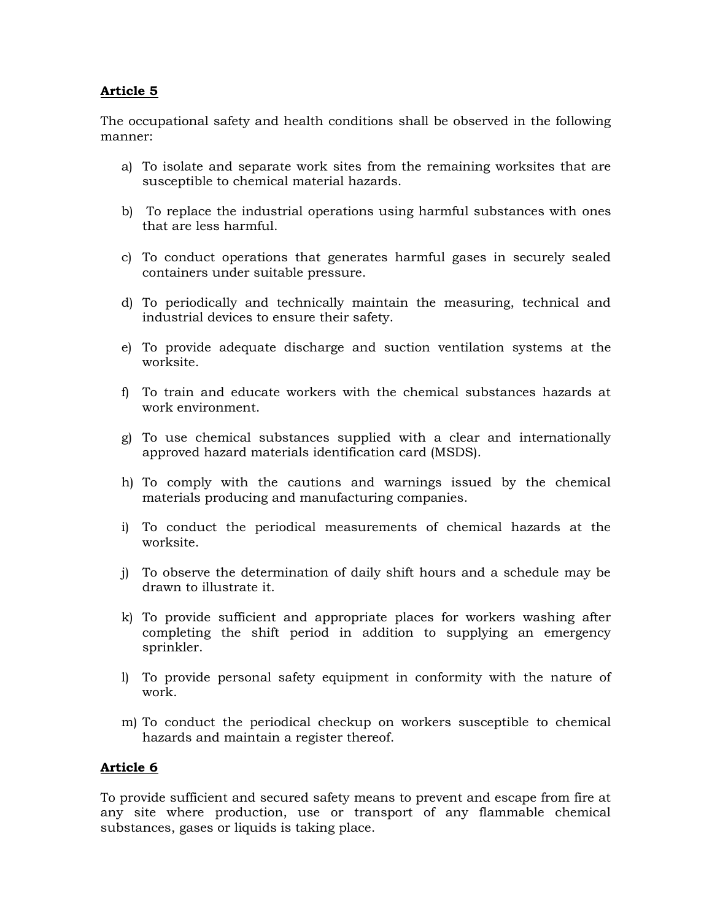The occupational safety and health conditions shall be observed in the following manner:

- a) To isolate and separate work sites from the remaining worksites that are susceptible to chemical material hazards.
- b) To replace the industrial operations using harmful substances with ones that are less harmful.
- c) To conduct operations that generates harmful gases in securely sealed containers under suitable pressure.
- d) To periodically and technically maintain the measuring, technical and industrial devices to ensure their safety.
- e) To provide adequate discharge and suction ventilation systems at the worksite.
- f) To train and educate workers with the chemical substances hazards at work environment.
- g) To use chemical substances supplied with a clear and internationally approved hazard materials identification card (MSDS).
- h) To comply with the cautions and warnings issued by the chemical materials producing and manufacturing companies.
- i) To conduct the periodical measurements of chemical hazards at the worksite.
- j) To observe the determination of daily shift hours and a schedule may be drawn to illustrate it.
- k) To provide sufficient and appropriate places for workers washing after completing the shift period in addition to supplying an emergency sprinkler.
- l) To provide personal safety equipment in conformity with the nature of work.
- m) To conduct the periodical checkup on workers susceptible to chemical hazards and maintain a register thereof.

#### **Article 6**

To provide sufficient and secured safety means to prevent and escape from fire at any site where production, use or transport of any flammable chemical substances, gases or liquids is taking place.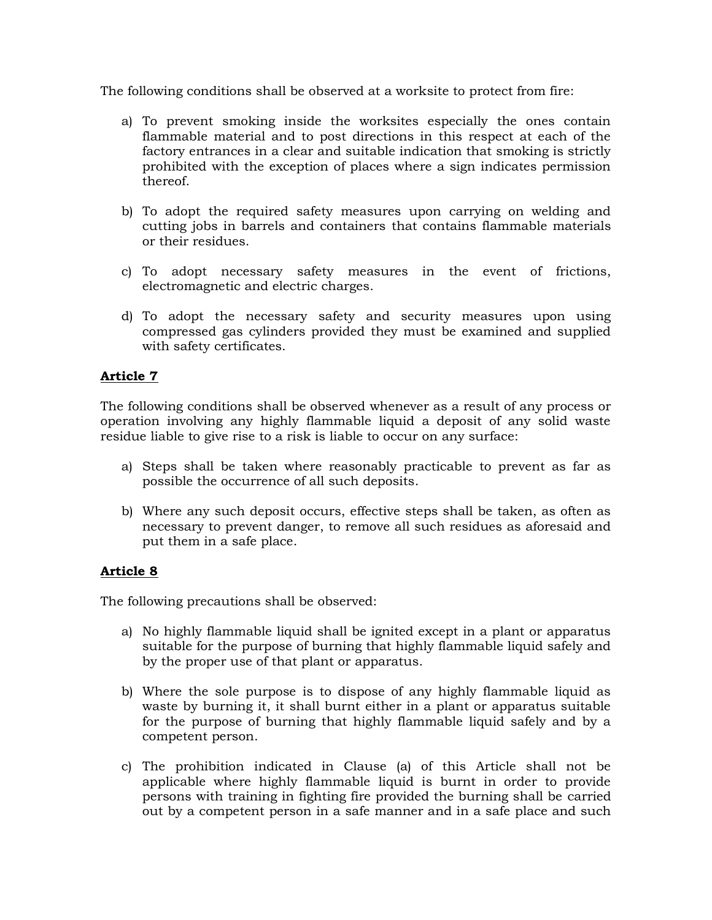The following conditions shall be observed at a worksite to protect from fire:

- a) To prevent smoking inside the worksites especially the ones contain flammable material and to post directions in this respect at each of the factory entrances in a clear and suitable indication that smoking is strictly prohibited with the exception of places where a sign indicates permission thereof.
- b) To adopt the required safety measures upon carrying on welding and cutting jobs in barrels and containers that contains flammable materials or their residues.
- c) To adopt necessary safety measures in the event of frictions, electromagnetic and electric charges.
- d) To adopt the necessary safety and security measures upon using compressed gas cylinders provided they must be examined and supplied with safety certificates.

# **Article 7**

The following conditions shall be observed whenever as a result of any process or operation involving any highly flammable liquid a deposit of any solid waste residue liable to give rise to a risk is liable to occur on any surface:

- a) Steps shall be taken where reasonably practicable to prevent as far as possible the occurrence of all such deposits.
- b) Where any such deposit occurs, effective steps shall be taken, as often as necessary to prevent danger, to remove all such residues as aforesaid and put them in a safe place.

# **Article 8**

The following precautions shall be observed:

- a) No highly flammable liquid shall be ignited except in a plant or apparatus suitable for the purpose of burning that highly flammable liquid safely and by the proper use of that plant or apparatus.
- b) Where the sole purpose is to dispose of any highly flammable liquid as waste by burning it, it shall burnt either in a plant or apparatus suitable for the purpose of burning that highly flammable liquid safely and by a competent person.
- c) The prohibition indicated in Clause (a) of this Article shall not be applicable where highly flammable liquid is burnt in order to provide persons with training in fighting fire provided the burning shall be carried out by a competent person in a safe manner and in a safe place and such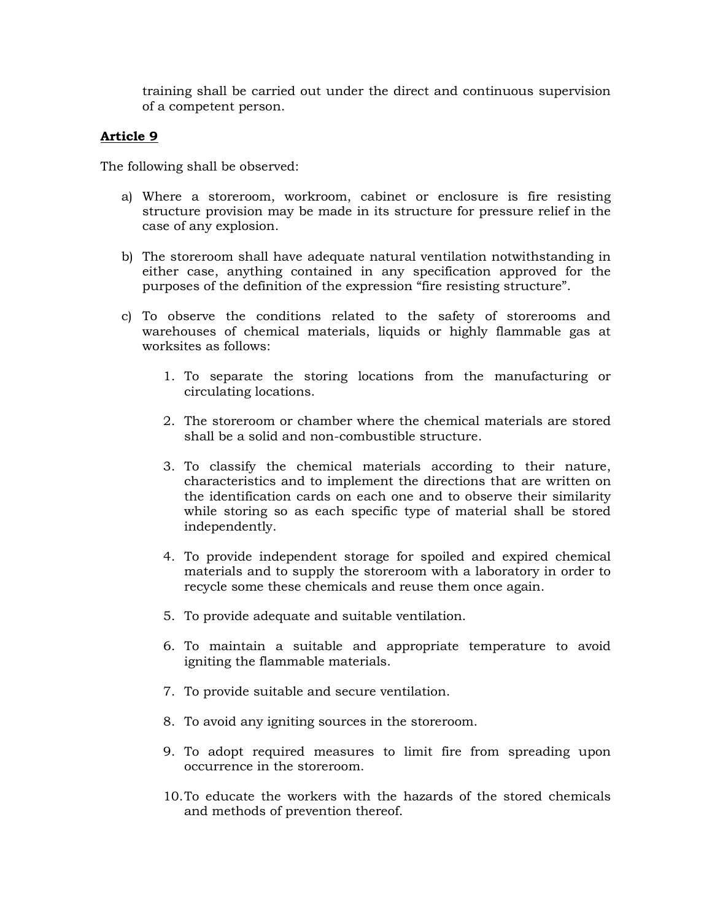training shall be carried out under the direct and continuous supervision of a competent person.

### **Article 9**

The following shall be observed:

- a) Where a storeroom, workroom, cabinet or enclosure is fire resisting structure provision may be made in its structure for pressure relief in the case of any explosion.
- b) The storeroom shall have adequate natural ventilation notwithstanding in either case, anything contained in any specification approved for the purposes of the definition of the expression "fire resisting structure".
- c) To observe the conditions related to the safety of storerooms and warehouses of chemical materials, liquids or highly flammable gas at worksites as follows:
	- 1. To separate the storing locations from the manufacturing or circulating locations.
	- 2. The storeroom or chamber where the chemical materials are stored shall be a solid and non-combustible structure.
	- 3. To classify the chemical materials according to their nature, characteristics and to implement the directions that are written on the identification cards on each one and to observe their similarity while storing so as each specific type of material shall be stored independently.
	- 4. To provide independent storage for spoiled and expired chemical materials and to supply the storeroom with a laboratory in order to recycle some these chemicals and reuse them once again.
	- 5. To provide adequate and suitable ventilation.
	- 6. To maintain a suitable and appropriate temperature to avoid igniting the flammable materials.
	- 7. To provide suitable and secure ventilation.
	- 8. To avoid any igniting sources in the storeroom.
	- 9. To adopt required measures to limit fire from spreading upon occurrence in the storeroom.
	- 10.To educate the workers with the hazards of the stored chemicals and methods of prevention thereof.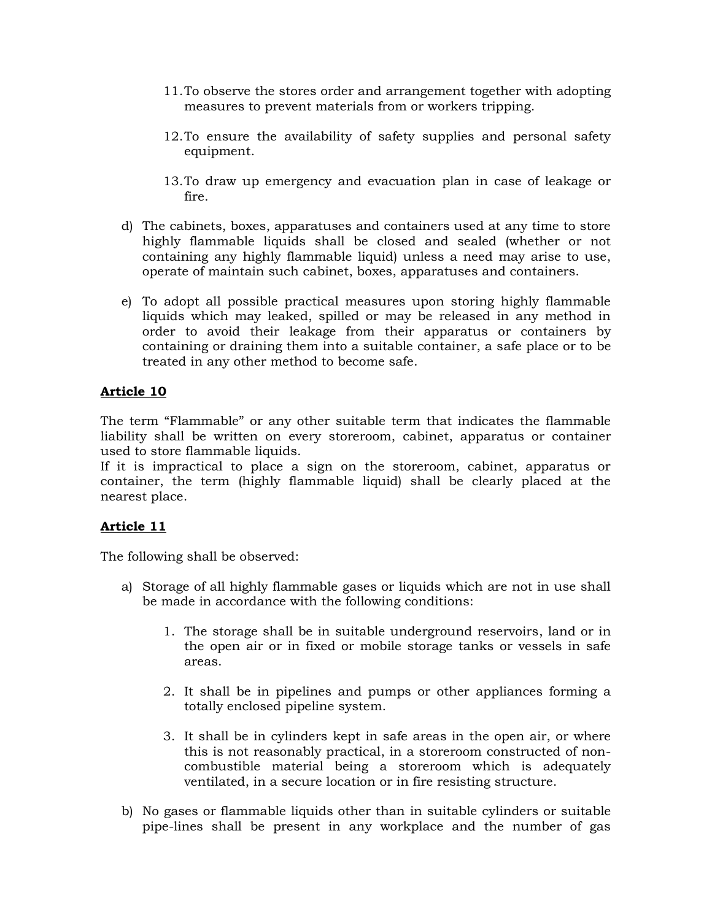- 11.To observe the stores order and arrangement together with adopting measures to prevent materials from or workers tripping.
- 12.To ensure the availability of safety supplies and personal safety equipment.
- 13.To draw up emergency and evacuation plan in case of leakage or fire.
- d) The cabinets, boxes, apparatuses and containers used at any time to store highly flammable liquids shall be closed and sealed (whether or not containing any highly flammable liquid) unless a need may arise to use, operate of maintain such cabinet, boxes, apparatuses and containers.
- e) To adopt all possible practical measures upon storing highly flammable liquids which may leaked, spilled or may be released in any method in order to avoid their leakage from their apparatus or containers by containing or draining them into a suitable container, a safe place or to be treated in any other method to become safe.

The term "Flammable" or any other suitable term that indicates the flammable liability shall be written on every storeroom, cabinet, apparatus or container used to store flammable liquids.

If it is impractical to place a sign on the storeroom, cabinet, apparatus or container, the term (highly flammable liquid) shall be clearly placed at the nearest place.

# **Article 11**

The following shall be observed:

- a) Storage of all highly flammable gases or liquids which are not in use shall be made in accordance with the following conditions:
	- 1. The storage shall be in suitable underground reservoirs, land or in the open air or in fixed or mobile storage tanks or vessels in safe areas.
	- 2. It shall be in pipelines and pumps or other appliances forming a totally enclosed pipeline system.
	- 3. It shall be in cylinders kept in safe areas in the open air, or where this is not reasonably practical, in a storeroom constructed of noncombustible material being a storeroom which is adequately ventilated, in a secure location or in fire resisting structure.
- b) No gases or flammable liquids other than in suitable cylinders or suitable pipe-lines shall be present in any workplace and the number of gas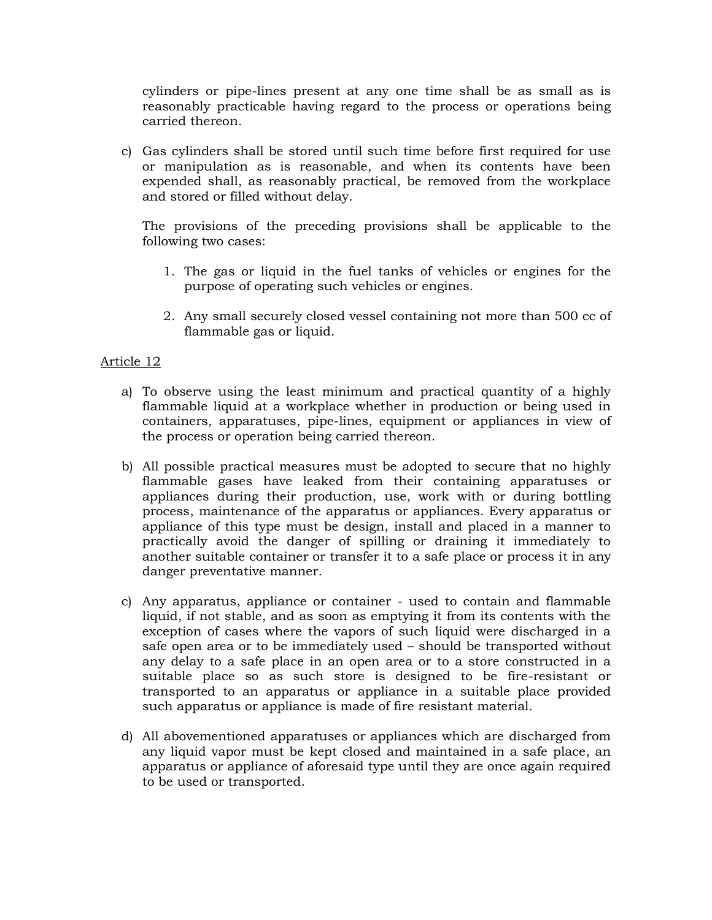cylinders or pipe-lines present at any one time shall be as small as is reasonably practicable having regard to the process or operations being carried thereon.

c) Gas cylinders shall be stored until such time before first required for use or manipulation as is reasonable, and when its contents have been expended shall, as reasonably practical, be removed from the workplace and stored or filled without delay.

The provisions of the preceding provisions shall be applicable to the following two cases:

- 1. The gas or liquid in the fuel tanks of vehicles or engines for the purpose of operating such vehicles or engines.
- 2. Any small securely closed vessel containing not more than 500 cc of flammable gas or liquid.

#### Article 12

- a) To observe using the least minimum and practical quantity of a highly flammable liquid at a workplace whether in production or being used in containers, apparatuses, pipe-lines, equipment or appliances in view of the process or operation being carried thereon.
- b) All possible practical measures must be adopted to secure that no highly flammable gases have leaked from their containing apparatuses or appliances during their production, use, work with or during bottling process, maintenance of the apparatus or appliances. Every apparatus or appliance of this type must be design, install and placed in a manner to practically avoid the danger of spilling or draining it immediately to another suitable container or transfer it to a safe place or process it in any danger preventative manner.
- c) Any apparatus, appliance or container used to contain and flammable liquid, if not stable, and as soon as emptying it from its contents with the exception of cases where the vapors of such liquid were discharged in a safe open area or to be immediately used – should be transported without any delay to a safe place in an open area or to a store constructed in a suitable place so as such store is designed to be fire-resistant or transported to an apparatus or appliance in a suitable place provided such apparatus or appliance is made of fire resistant material.
- d) All abovementioned apparatuses or appliances which are discharged from any liquid vapor must be kept closed and maintained in a safe place, an apparatus or appliance of aforesaid type until they are once again required to be used or transported.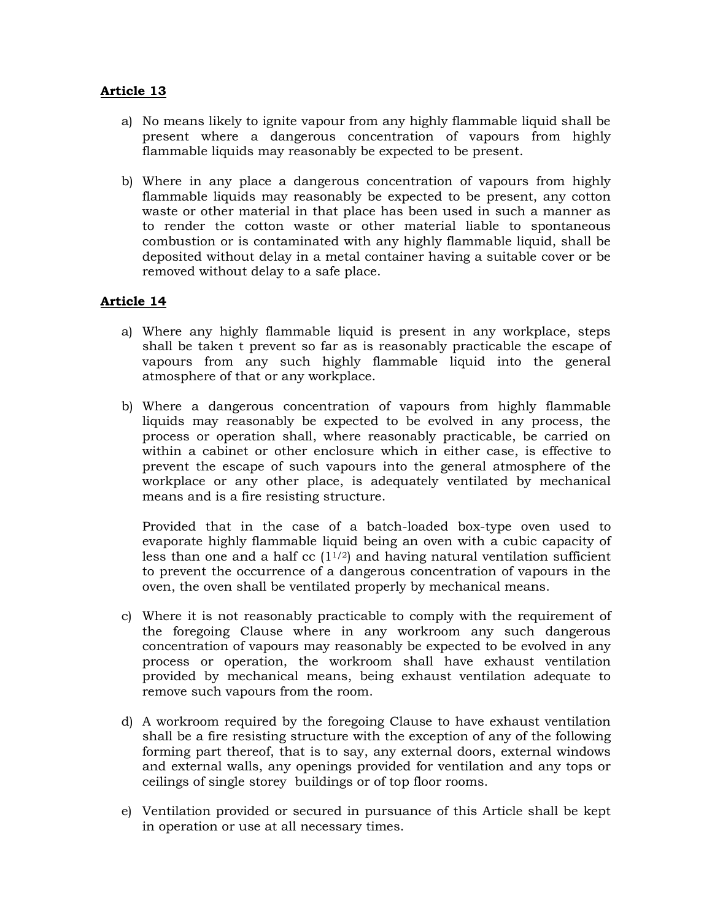- a) No means likely to ignite vapour from any highly flammable liquid shall be present where a dangerous concentration of vapours from highly flammable liquids may reasonably be expected to be present.
- b) Where in any place a dangerous concentration of vapours from highly flammable liquids may reasonably be expected to be present, any cotton waste or other material in that place has been used in such a manner as to render the cotton waste or other material liable to spontaneous combustion or is contaminated with any highly flammable liquid, shall be deposited without delay in a metal container having a suitable cover or be removed without delay to a safe place.

#### **Article 14**

- a) Where any highly flammable liquid is present in any workplace, steps shall be taken t prevent so far as is reasonably practicable the escape of vapours from any such highly flammable liquid into the general atmosphere of that or any workplace.
- b) Where a dangerous concentration of vapours from highly flammable liquids may reasonably be expected to be evolved in any process, the process or operation shall, where reasonably practicable, be carried on within a cabinet or other enclosure which in either case, is effective to prevent the escape of such vapours into the general atmosphere of the workplace or any other place, is adequately ventilated by mechanical means and is a fire resisting structure.

Provided that in the case of a batch-loaded box-type oven used to evaporate highly flammable liquid being an oven with a cubic capacity of less than one and a half  $\rm cc$  (1<sup>1/2</sup>) and having natural ventilation sufficient to prevent the occurrence of a dangerous concentration of vapours in the oven, the oven shall be ventilated properly by mechanical means.

- c) Where it is not reasonably practicable to comply with the requirement of the foregoing Clause where in any workroom any such dangerous concentration of vapours may reasonably be expected to be evolved in any process or operation, the workroom shall have exhaust ventilation provided by mechanical means, being exhaust ventilation adequate to remove such vapours from the room.
- d) A workroom required by the foregoing Clause to have exhaust ventilation shall be a fire resisting structure with the exception of any of the following forming part thereof, that is to say, any external doors, external windows and external walls, any openings provided for ventilation and any tops or ceilings of single storey buildings or of top floor rooms.
- e) Ventilation provided or secured in pursuance of this Article shall be kept in operation or use at all necessary times.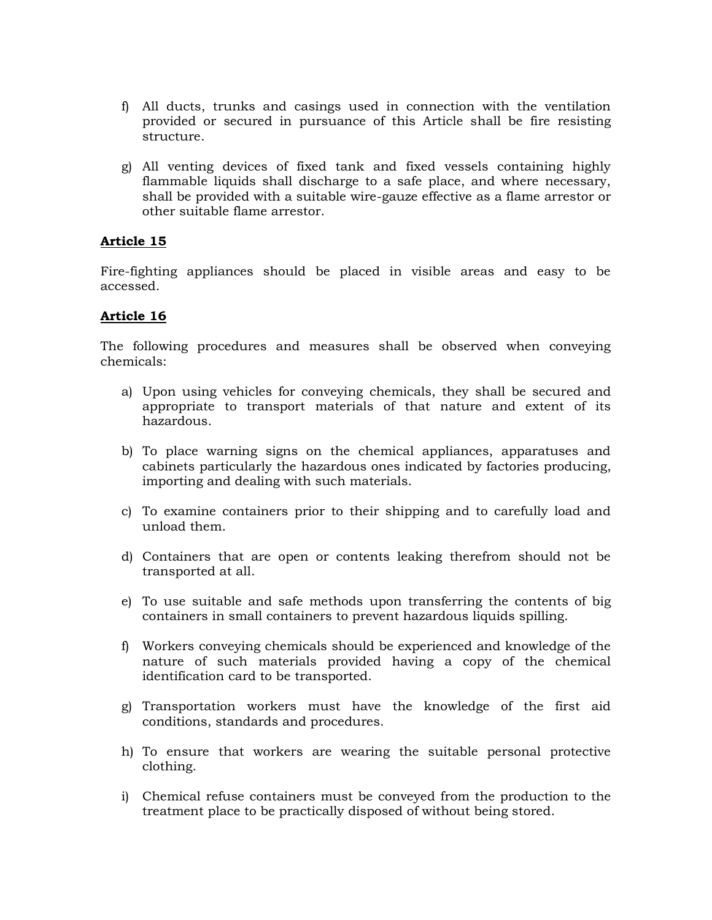- f) All ducts, trunks and casings used in connection with the ventilation provided or secured in pursuance of this Article shall be fire resisting structure.
- g) All venting devices of fixed tank and fixed vessels containing highly flammable liquids shall discharge to a safe place, and where necessary, shall be provided with a suitable wire-gauze effective as a flame arrestor or other suitable flame arrestor.

Fire-fighting appliances should be placed in visible areas and easy to be accessed.

# **Article 16**

The following procedures and measures shall be observed when conveying chemicals:

- a) Upon using vehicles for conveying chemicals, they shall be secured and appropriate to transport materials of that nature and extent of its hazardous.
- b) To place warning signs on the chemical appliances, apparatuses and cabinets particularly the hazardous ones indicated by factories producing, importing and dealing with such materials.
- c) To examine containers prior to their shipping and to carefully load and unload them.
- d) Containers that are open or contents leaking therefrom should not be transported at all.
- e) To use suitable and safe methods upon transferring the contents of big containers in small containers to prevent hazardous liquids spilling.
- f) Workers conveying chemicals should be experienced and knowledge of the nature of such materials provided having a copy of the chemical identification card to be transported.
- g) Transportation workers must have the knowledge of the first aid conditions, standards and procedures.
- h) To ensure that workers are wearing the suitable personal protective clothing.
- i) Chemical refuse containers must be conveyed from the production to the treatment place to be practically disposed of without being stored.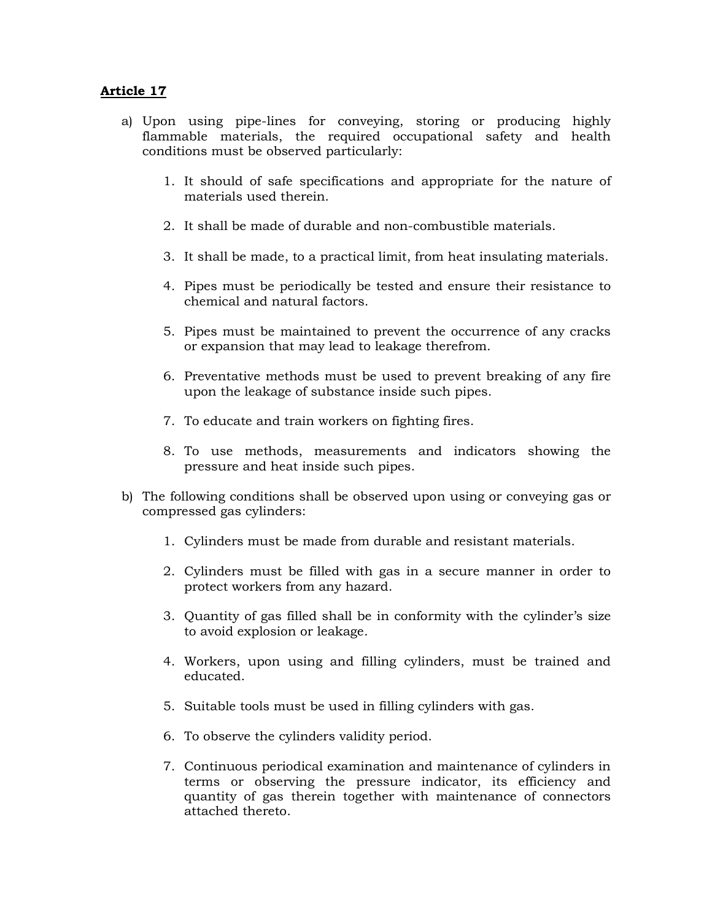- a) Upon using pipe-lines for conveying, storing or producing highly flammable materials, the required occupational safety and health conditions must be observed particularly:
	- 1. It should of safe specifications and appropriate for the nature of materials used therein.
	- 2. It shall be made of durable and non-combustible materials.
	- 3. It shall be made, to a practical limit, from heat insulating materials.
	- 4. Pipes must be periodically be tested and ensure their resistance to chemical and natural factors.
	- 5. Pipes must be maintained to prevent the occurrence of any cracks or expansion that may lead to leakage therefrom.
	- 6. Preventative methods must be used to prevent breaking of any fire upon the leakage of substance inside such pipes.
	- 7. To educate and train workers on fighting fires.
	- 8. To use methods, measurements and indicators showing the pressure and heat inside such pipes.
- b) The following conditions shall be observed upon using or conveying gas or compressed gas cylinders:
	- 1. Cylinders must be made from durable and resistant materials.
	- 2. Cylinders must be filled with gas in a secure manner in order to protect workers from any hazard.
	- 3. Quantity of gas filled shall be in conformity with the cylinder's size to avoid explosion or leakage.
	- 4. Workers, upon using and filling cylinders, must be trained and educated.
	- 5. Suitable tools must be used in filling cylinders with gas.
	- 6. To observe the cylinders validity period.
	- 7. Continuous periodical examination and maintenance of cylinders in terms or observing the pressure indicator, its efficiency and quantity of gas therein together with maintenance of connectors attached thereto.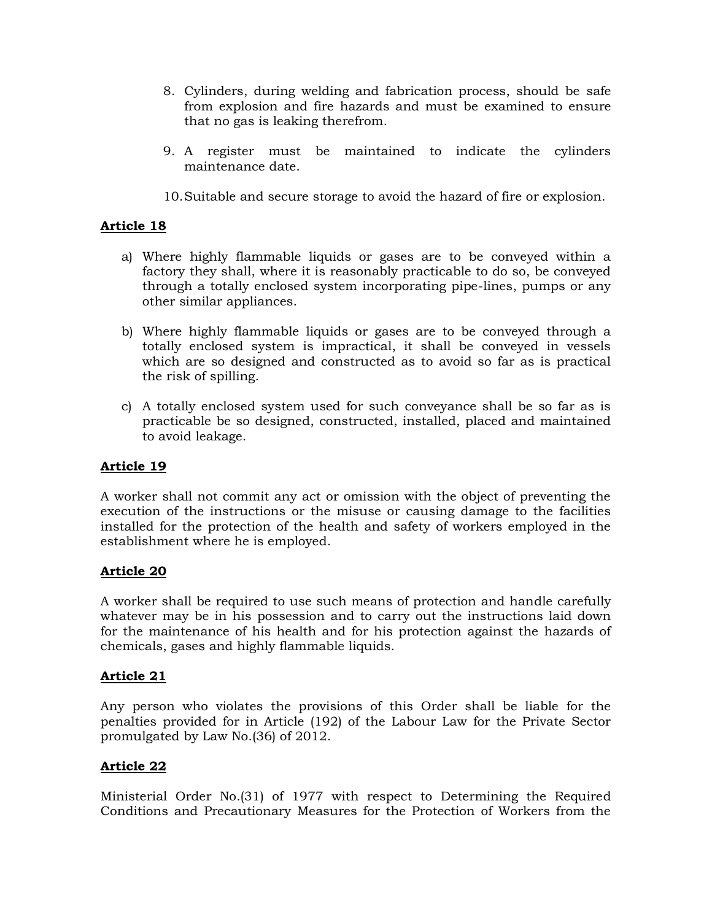- 8. Cylinders, during welding and fabrication process, should be safe from explosion and fire hazards and must be examined to ensure that no gas is leaking therefrom.
- 9. A register must be maintained to indicate the cylinders maintenance date.
- 10.Suitable and secure storage to avoid the hazard of fire or explosion.

- a) Where highly flammable liquids or gases are to be conveyed within a factory they shall, where it is reasonably practicable to do so, be conveyed through a totally enclosed system incorporating pipe-lines, pumps or any other similar appliances.
- b) Where highly flammable liquids or gases are to be conveyed through a totally enclosed system is impractical, it shall be conveyed in vessels which are so designed and constructed as to avoid so far as is practical the risk of spilling.
- c) A totally enclosed system used for such conveyance shall be so far as is practicable be so designed, constructed, installed, placed and maintained to avoid leakage.

# **Article 19**

A worker shall not commit any act or omission with the object of preventing the execution of the instructions or the misuse or causing damage to the facilities installed for the protection of the health and safety of workers employed in the establishment where he is employed.

#### **Article 20**

A worker shall be required to use such means of protection and handle carefully whatever may be in his possession and to carry out the instructions laid down for the maintenance of his health and for his protection against the hazards of chemicals, gases and highly flammable liquids.

#### **Article 21**

Any person who violates the provisions of this Order shall be liable for the penalties provided for in Article (192) of the Labour Law for the Private Sector promulgated by Law No.(36) of 2012.

#### **Article 22**

Ministerial Order No.(31) of 1977 with respect to Determining the Required Conditions and Precautionary Measures for the Protection of Workers from the